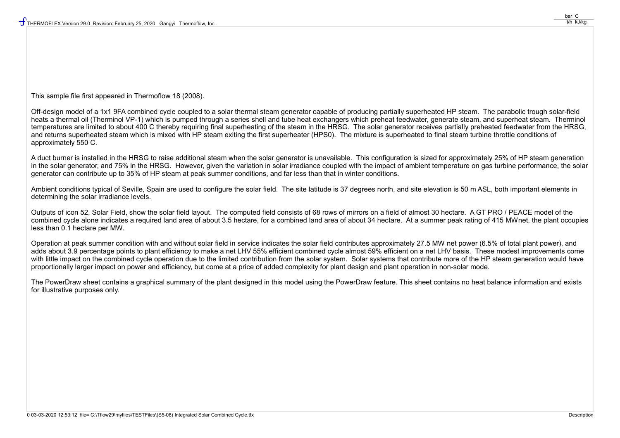This sample file first appeared in Thermoflow 18 (2008).

Off-design model of a 1x1 9FA combined cycle coupled to a solar thermal steam generator capable of producing partially superheated HP steam. The parabolic trough solar-field heats a thermal oil (Therminol VP-1) which is pumped through a series shell and tube heat exchangers which preheat feedwater, generate steam, and superheat steam. Therminol temperatures are limited to about 400 C thereby requiring final superheating of the steam in the HRSG. The solar generator receives partially preheated feedwater from the HRSG, and returns superheated steam which is mixed with HP steam exiting the first superheater (HPS0). The mixture is superheated to final steam turbine throttle conditions of approximately 550 C.

A duct burner is installed in the HRSG to raise additional steam when the solar generator is unavailable. This configuration is sized for approximately 25% of HP steam generation in the solar generator, and 75% in the HRSG. However, given the variation in solar irradiance coupled with the impact of ambient temperature on gas turbine performance, the solar generator can contribute up to 35% of HP steam at peak summer conditions, and far less than that in winter conditions.

Ambient conditions typical of Seville. Spain are used to configure the solar field. The site latitude is 37 degrees north, and site elevation is 50 m ASL, both important elements in determining the solar irradiance levels.

Outputs of icon 52, Solar Field, show the solar field layout. The computed field consists of 68 rows of mirrors on a field of almost 30 hectare. A GT PRO / PEACE model of the combined cycle alone indicates a required land area of about 3.5 hectare, for a combined land area of about 34 hectare. At a summer peak rating of 415 MWnet, the plant occupies less than 0.1 hectare per MW.

Operation at peak summer condition with and without solar field in service indicates the solar field contributes approximately 27.5 MW net power (6.5% of total plant power), and adds about 3.9 percentage points to plant efficiency to make a net LHV 55% efficient combined cycle almost 59% efficient on a net LHV basis. These modest improvements come with little impact on the combined cycle operation due to the limited contribution from the solar system. Solar systems that contribute more of the HP steam generation would have proportionally larger impact on power and efficiency, but come at a price of added complexity for plant design and plant operation in non-solar mode.

The PowerDraw sheet contains a graphical summary of the plant designed in this model using the PowerDraw feature. This sheet contains no heat balance information and exists for illustrative purposes only.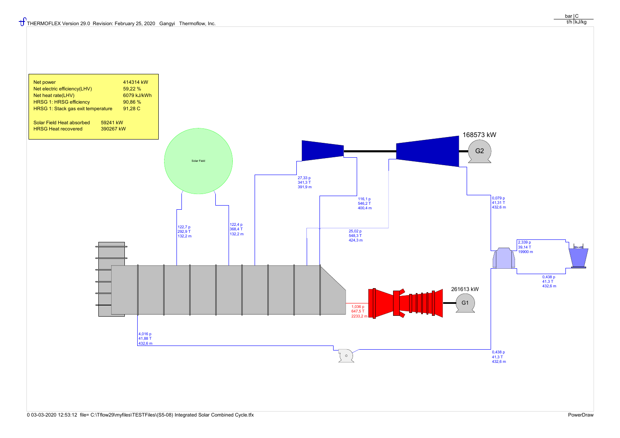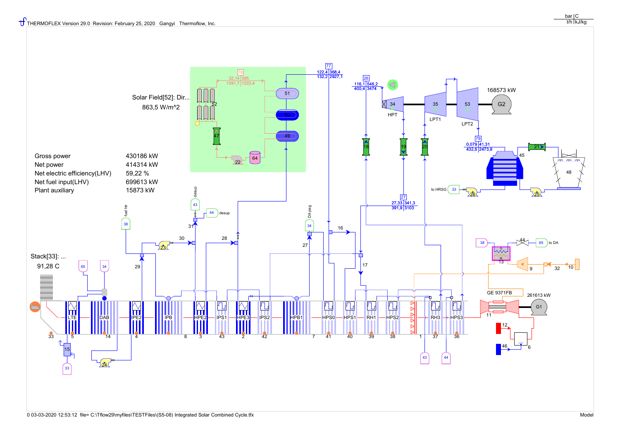